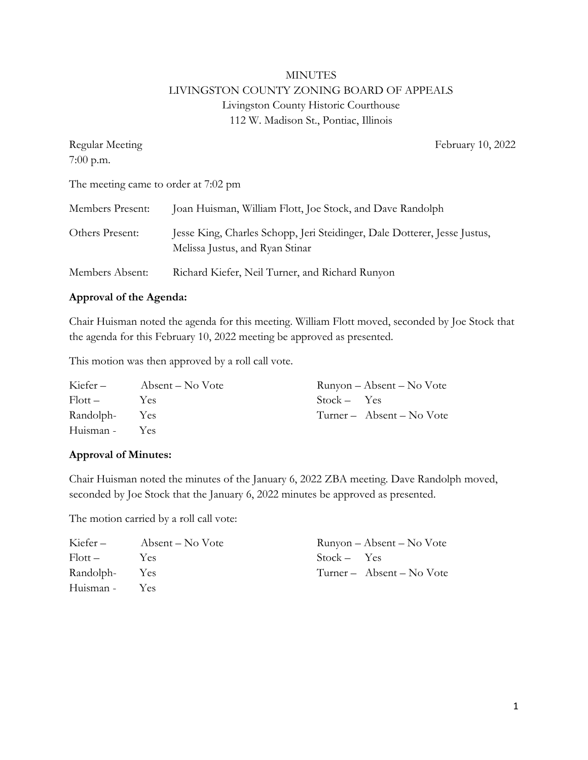# MINUTES LIVINGSTON COUNTY ZONING BOARD OF APPEALS Livingston County Historic Courthouse 112 W. Madison St., Pontiac, Illinois

| Regular Meeting                      | February 10, 2022                                                                                            |  |
|--------------------------------------|--------------------------------------------------------------------------------------------------------------|--|
| $7:00$ p.m.                          |                                                                                                              |  |
| The meeting came to order at 7:02 pm |                                                                                                              |  |
| Members Present:                     | Joan Huisman, William Flott, Joe Stock, and Dave Randolph                                                    |  |
| Others Present:                      | Jesse King, Charles Schopp, Jeri Steidinger, Dale Dotterer, Jesse Justus,<br>Melissa Justus, and Ryan Stinar |  |
| Members Absent:                      | Richard Kiefer, Neil Turner, and Richard Runyon                                                              |  |

### **Approval of the Agenda:**

Chair Huisman noted the agenda for this meeting. William Flott moved, seconded by Joe Stock that the agenda for this February 10, 2022 meeting be approved as presented.

This motion was then approved by a roll call vote.

| Kiefer –      | Absent – No Vote |               | Runyon – Absent – No Vote |
|---------------|------------------|---------------|---------------------------|
| Flott –       | Yes              | $Stock - Yes$ |                           |
| Randolph- Yes |                  |               | Turner – Absent – No Vote |
| Huisman -     | <b>Yes</b>       |               |                           |

#### **Approval of Minutes:**

Chair Huisman noted the minutes of the January 6, 2022 ZBA meeting. Dave Randolph moved, seconded by Joe Stock that the January 6, 2022 minutes be approved as presented.

The motion carried by a roll call vote:

| Kiefer –      | Absent – No Vote |               | Runyon – Absent – No Vote |
|---------------|------------------|---------------|---------------------------|
| Flott –       | Yes              | $Stock - Yes$ |                           |
| Randolph- Yes |                  |               | Turner – Absent – No Vote |
| Huisman - Yes |                  |               |                           |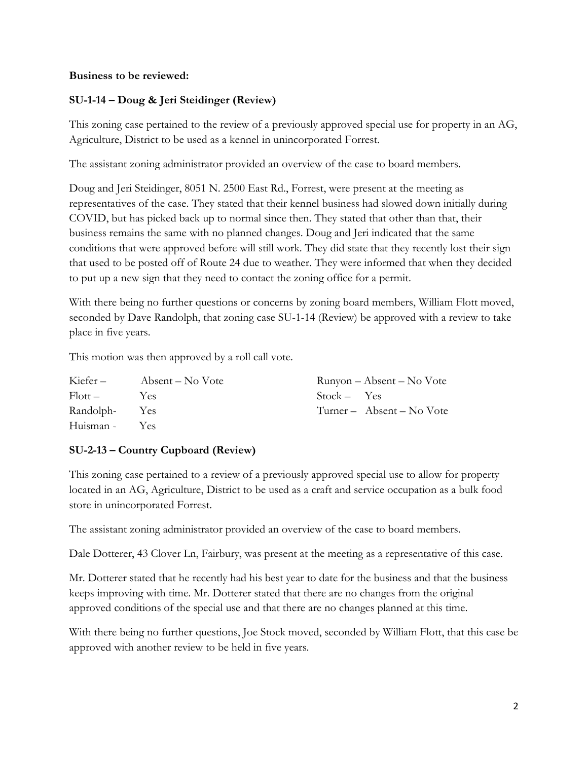### **Business to be reviewed:**

# **SU-1-14 – Doug & Jeri Steidinger (Review)**

This zoning case pertained to the review of a previously approved special use for property in an AG, Agriculture, District to be used as a kennel in unincorporated Forrest.

The assistant zoning administrator provided an overview of the case to board members.

Doug and Jeri Steidinger, 8051 N. 2500 East Rd., Forrest, were present at the meeting as representatives of the case. They stated that their kennel business had slowed down initially during COVID, but has picked back up to normal since then. They stated that other than that, their business remains the same with no planned changes. Doug and Jeri indicated that the same conditions that were approved before will still work. They did state that they recently lost their sign that used to be posted off of Route 24 due to weather. They were informed that when they decided to put up a new sign that they need to contact the zoning office for a permit.

With there being no further questions or concerns by zoning board members, William Flott moved, seconded by Dave Randolph, that zoning case SU-1-14 (Review) be approved with a review to take place in five years.

This motion was then approved by a roll call vote.

| Kiefer –      | Absent – No Vote |               | Runyon – Absent – No Vote |
|---------------|------------------|---------------|---------------------------|
| Flott –       | <b>Yes</b>       | $Stock - Yes$ |                           |
| Randolph- Yes |                  |               | Turner – Absent – No Vote |
| Huisman -     | <b>Yes</b>       |               |                           |

# **SU-2-13 – Country Cupboard (Review)**

This zoning case pertained to a review of a previously approved special use to allow for property located in an AG, Agriculture, District to be used as a craft and service occupation as a bulk food store in unincorporated Forrest.

The assistant zoning administrator provided an overview of the case to board members.

Dale Dotterer, 43 Clover Ln, Fairbury, was present at the meeting as a representative of this case.

Mr. Dotterer stated that he recently had his best year to date for the business and that the business keeps improving with time. Mr. Dotterer stated that there are no changes from the original approved conditions of the special use and that there are no changes planned at this time.

With there being no further questions, Joe Stock moved, seconded by William Flott, that this case be approved with another review to be held in five years.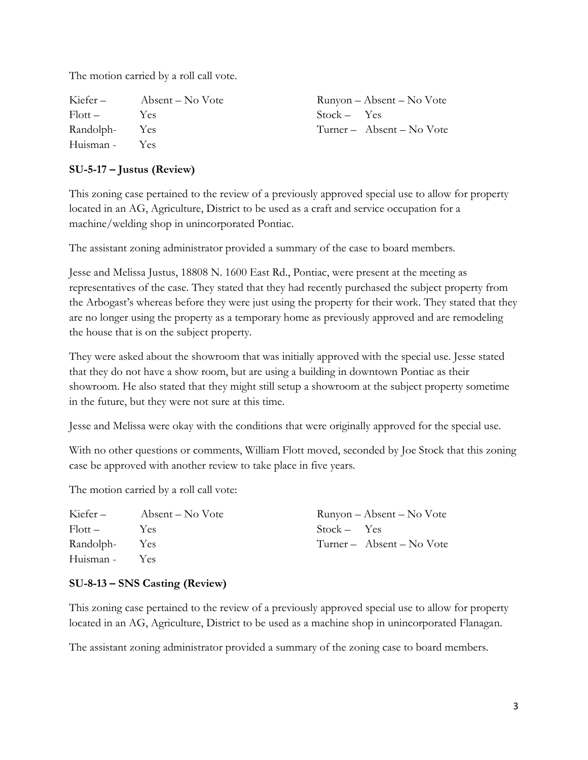The motion carried by a roll call vote.

| Kiefer –            | Absent – No Vote |               | Runyon – Absent – No Vote |
|---------------------|------------------|---------------|---------------------------|
| $F _{\text{Ott}} =$ | Yes              | $Stock - Yes$ |                           |
| Randolph- Yes       |                  |               | Turner – Absent – No Vote |
| Huisman - Yes       |                  |               |                           |

# **SU-5-17 – Justus (Review)**

This zoning case pertained to the review of a previously approved special use to allow for property located in an AG, Agriculture, District to be used as a craft and service occupation for a machine/welding shop in unincorporated Pontiac.

The assistant zoning administrator provided a summary of the case to board members.

Jesse and Melissa Justus, 18808 N. 1600 East Rd., Pontiac, were present at the meeting as representatives of the case. They stated that they had recently purchased the subject property from the Arbogast's whereas before they were just using the property for their work. They stated that they are no longer using the property as a temporary home as previously approved and are remodeling the house that is on the subject property.

They were asked about the showroom that was initially approved with the special use. Jesse stated that they do not have a show room, but are using a building in downtown Pontiac as their showroom. He also stated that they might still setup a showroom at the subject property sometime in the future, but they were not sure at this time.

Jesse and Melissa were okay with the conditions that were originally approved for the special use.

With no other questions or comments, William Flott moved, seconded by Joe Stock that this zoning case be approved with another review to take place in five years.

The motion carried by a roll call vote:

| Kiefer –      | Absent – No Vote |               | Runyon – Absent – No Vote |
|---------------|------------------|---------------|---------------------------|
| $Flott -$     | Yes              | $Stock - Yes$ |                           |
| Randolph- Yes |                  |               | Turner – Absent – No Vote |
| Huisman - Yes |                  |               |                           |

# **SU-8-13 – SNS Casting (Review)**

This zoning case pertained to the review of a previously approved special use to allow for property located in an AG, Agriculture, District to be used as a machine shop in unincorporated Flanagan.

The assistant zoning administrator provided a summary of the zoning case to board members.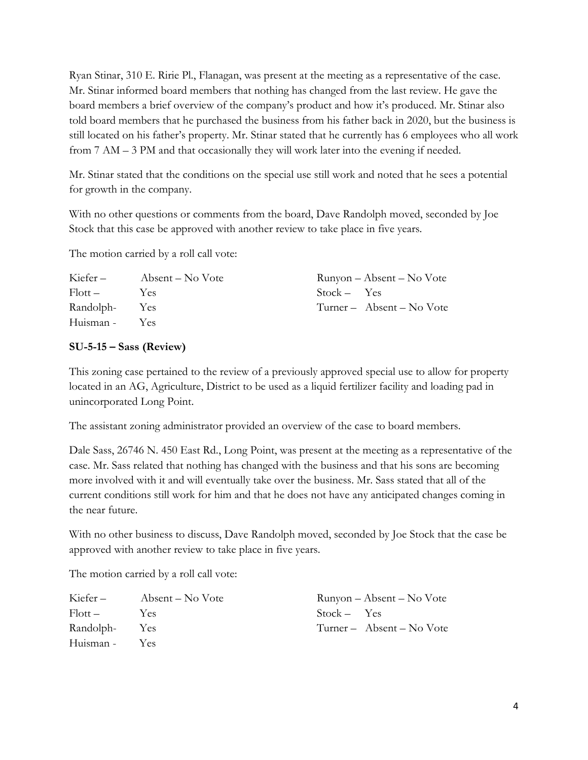Ryan Stinar, 310 E. Ririe Pl., Flanagan, was present at the meeting as a representative of the case. Mr. Stinar informed board members that nothing has changed from the last review. He gave the board members a brief overview of the company's product and how it's produced. Mr. Stinar also told board members that he purchased the business from his father back in 2020, but the business is still located on his father's property. Mr. Stinar stated that he currently has 6 employees who all work from 7 AM – 3 PM and that occasionally they will work later into the evening if needed.

Mr. Stinar stated that the conditions on the special use still work and noted that he sees a potential for growth in the company.

With no other questions or comments from the board, Dave Randolph moved, seconded by Joe Stock that this case be approved with another review to take place in five years.

The motion carried by a roll call vote:

| Kiefer –          | Absent – No Vote |               | Runyon – Absent – No Vote |
|-------------------|------------------|---------------|---------------------------|
| $F_{\rm l}$ ott – | Yes              | $Stock - Yes$ |                           |
| Randolph- Yes     |                  |               | Turner – Absent – No Vote |
| Huisman - Yes     |                  |               |                           |

# **SU-5-15 – Sass (Review)**

This zoning case pertained to the review of a previously approved special use to allow for property located in an AG, Agriculture, District to be used as a liquid fertilizer facility and loading pad in unincorporated Long Point.

The assistant zoning administrator provided an overview of the case to board members.

Dale Sass, 26746 N. 450 East Rd., Long Point, was present at the meeting as a representative of the case. Mr. Sass related that nothing has changed with the business and that his sons are becoming more involved with it and will eventually take over the business. Mr. Sass stated that all of the current conditions still work for him and that he does not have any anticipated changes coming in the near future.

With no other business to discuss, Dave Randolph moved, seconded by Joe Stock that the case be approved with another review to take place in five years.

The motion carried by a roll call vote:

| Kiefer –      | Absent – No Vote |               | Runyon – Absent – No Vote |
|---------------|------------------|---------------|---------------------------|
| $Flott -$     | Yes              | $Stock - Yes$ |                           |
| Randolph- Yes |                  |               | Turner – Absent – No Vote |
| Huisman - Yes |                  |               |                           |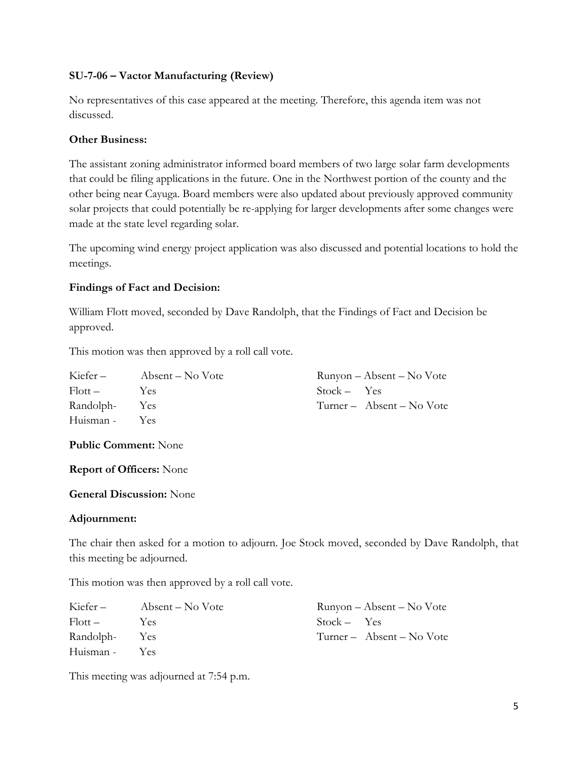## **SU-7-06 – Vactor Manufacturing (Review)**

No representatives of this case appeared at the meeting. Therefore, this agenda item was not discussed.

### **Other Business:**

The assistant zoning administrator informed board members of two large solar farm developments that could be filing applications in the future. One in the Northwest portion of the county and the other being near Cayuga. Board members were also updated about previously approved community solar projects that could potentially be re-applying for larger developments after some changes were made at the state level regarding solar.

The upcoming wind energy project application was also discussed and potential locations to hold the meetings.

### **Findings of Fact and Decision:**

William Flott moved, seconded by Dave Randolph, that the Findings of Fact and Decision be approved.

This motion was then approved by a roll call vote.

| Kiefer –      | Absent – No Vote |               | Runyon – Absent – No Vote |
|---------------|------------------|---------------|---------------------------|
| Flott –       | Yes              | $Stock - Yes$ |                           |
| Randolph- Yes |                  |               | Turner – Absent – No Vote |
| Huisman - Yes |                  |               |                           |

**Public Comment:** None

#### **Report of Officers:** None

#### **General Discussion:** None

#### **Adjournment:**

The chair then asked for a motion to adjourn. Joe Stock moved, seconded by Dave Randolph, that this meeting be adjourned.

This motion was then approved by a roll call vote.

| Kiefer –      | Absent – No Vote |               | Runyon – Absent – No Vote |
|---------------|------------------|---------------|---------------------------|
| Flott –       | Yes              | $Stock - Yes$ |                           |
| Randolph- Yes |                  |               | Turner – Absent – No Vote |
| Huisman - Yes |                  |               |                           |

This meeting was adjourned at 7:54 p.m.